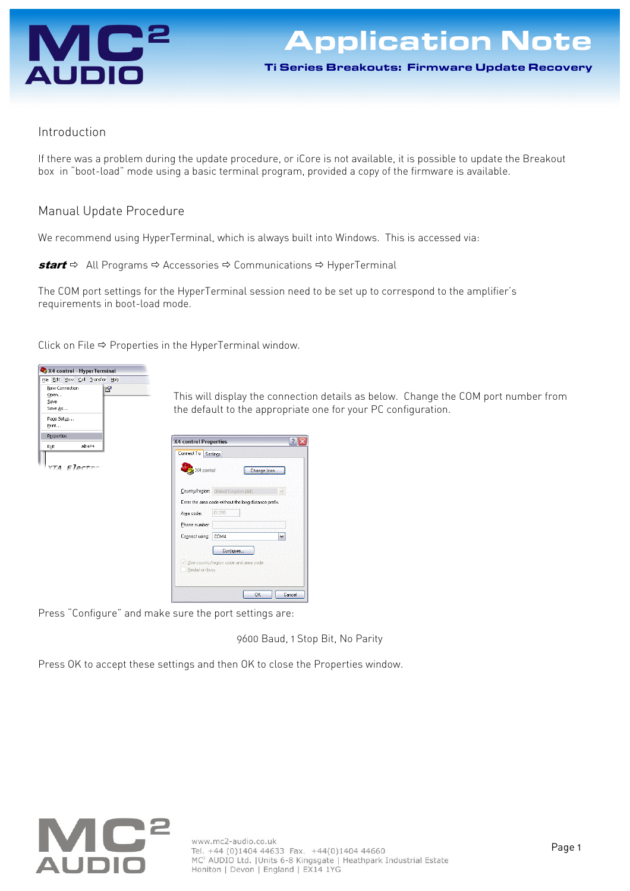

Ti Series Breakouts: Firmware Update Recovery

## Introduction

If there was a problem during the update procedure, or iCore is not available, it is possible to update the Breakout box in "boot-load" mode using a basic terminal program, provided a copy of the firmware is available.

## Manual Update Procedure

We recommend using HyperTerminal, which is always built into Windows. This is accessed via:

**start**  $\Rightarrow$  All Programs  $\Rightarrow$  Accessories  $\Rightarrow$  Communications  $\Rightarrow$  HyperTerminal

The COM port settings for the HyperTerminal session need to be set up to correspond to the amplifier's requirements in boot-load mode.

Click on File  $\Leftrightarrow$  Properties in the HyperTerminal window.



This will display the connection details as below. Change the COM port number from the default to the appropriate one for your PC configuration.



Press "Configure" and make sure the port settings are:

9600 Baud, 1 Stop Bit, No Parity

Press OK to accept these settings and then OK to close the Properties window.

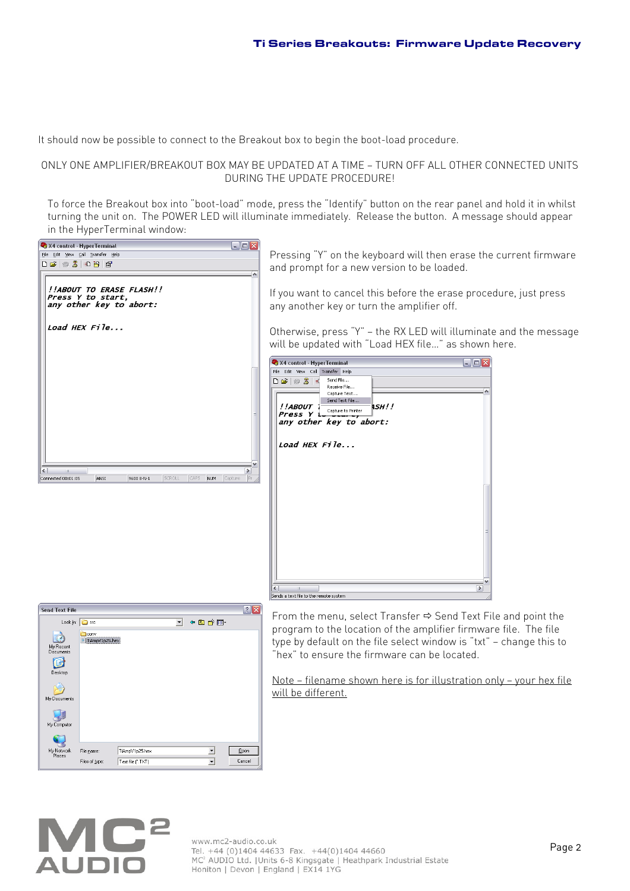It should now be possible to connect to the Breakout box to begin the boot-load procedure.

## ONLY ONE AMPLIFIER/BREAKOUT BOX MAY BE UPDATED AT A TIME — TURN OFF ALL OTHER CONNECTED UNITS DURING THE UPDATE PROCEDURE!

To force the Breakout box into "boot-load" mode, press the "Identify" button on the rear panel and hold it in whilst turning the unit on. The POWER LED will illuminate immediately. Release the button. A message should appear in the HyperTerminal window:

| $\blacksquare$ $\blacksquare$ $\times$<br>X4 control - HyperTerminal                                                           |                                                                                                                                                                                                                                                                                   |  |  |  |
|--------------------------------------------------------------------------------------------------------------------------------|-----------------------------------------------------------------------------------------------------------------------------------------------------------------------------------------------------------------------------------------------------------------------------------|--|--|--|
| File Edit View Call Transfer Help<br>$\bigcap \mathcal{B} \mid \mathcal{B} \mid \mathcal{B} \mid \mathcal{B} \mid \mathcal{B}$ | Pressing "Y" on the keyboard will then erase the current firmware<br>and prompt for a new version to be loaded.                                                                                                                                                                   |  |  |  |
| !!ABOUT TO ERASE FLASH!!<br>Press Y to start,<br>any other key to abort:                                                       | If you want to cancel this before the erase procedure, just press<br>any another key or turn the amplifier off.                                                                                                                                                                   |  |  |  |
| Load HEX $FiIe$                                                                                                                | Otherwise, press "Y" – the RX LED will illuminate and the message<br>will be updated with "Load HEX file" as shown here.                                                                                                                                                          |  |  |  |
| $\rightarrow$<br>CAPS NUM Capture<br>SCROLL<br><b>ANSI</b><br>9600 8-N-1<br>Connected 00:01:05                                 | $\Box$ e $\times$<br>X4 control - HyperTerminal<br>File Edit View Call Transfer Help<br>$D \ncong \ncong 3 \ncong$<br>Send File<br>Receive File<br>Capture Text<br>Send Text File<br>4 <i>SH!!</i><br>!!ABOUT<br>Capture to Printer<br>any other key to abort:<br>Load HEX $File$ |  |  |  |

| <b>Send Text File</b>  |                        |                   |                      |         | $\hat{ }$ |
|------------------------|------------------------|-------------------|----------------------|---------|-----------|
| Look $ n $             | <b>B</b> src           |                   | $\blacktriangledown$ | ← 白び 国· |           |
| My Recent<br>Documents | conv<br>TiAmpV1p25.hex |                   |                      |         |           |
| Desktop                |                        |                   |                      |         |           |
| My Documents           |                        |                   |                      |         |           |
| My Computer            |                        |                   |                      |         |           |
|                        |                        |                   |                      |         |           |
| My Network<br>Places   | File name:             | TiAmpV1p25.hex    |                      |         | Qpen      |
|                        | Files of type:         | Text file (".TXT) |                      |         | Cancel    |

From the menu, select Transfer  $\Leftrightarrow$  Send Text File and point the program to the location of the amplifier firmware file. The file type by default on the file select window is "txt" — change this to "hex" to ensure the firmware can be located.

Note — filename shown here is for illustration only — your hex file will be different.



Sends a text file to the remote system